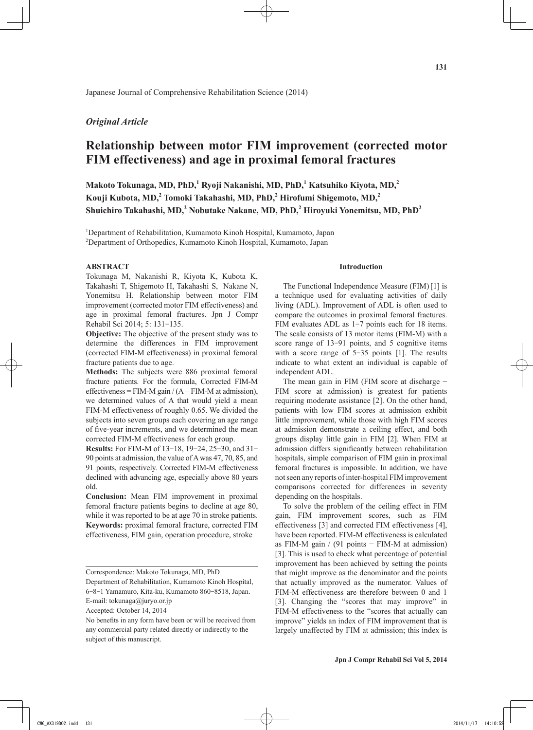# *Original Article*

# **Relationship between motor FIM improvement (corrected motor FIM effectiveness) and age in proximal femoral fractures**

**Makoto Tokunaga, MD, PhD,<sup>1</sup> Ryoji Nakanishi, MD, PhD,<sup>1</sup> Katsuhiko Kiyota, MD,2 Kouji Kubota, MD,<sup>2</sup> Tomoki Takahashi, MD, PhD,<sup>2</sup> Hirofumi Shigemoto, MD,<sup>2</sup> Shuichiro Takahashi, MD,<sup>2</sup> Nobutake Nakane, MD, PhD,<sup>2</sup> Hiroyuki Yonemitsu, MD, PhD<sup>2</sup>**

<sup>1</sup>Department of Rehabilitation, Kumamoto Kinoh Hospital, Kumamoto, Japan 2 Department of Orthopedics, Kumamoto Kinoh Hospital, Kumamoto, Japan

#### **ABSTRACT**

Tokunaga M, Nakanishi R, Kiyota K, Kubota K, Takahashi T, Shigemoto H, Takahashi S, Nakane N, Yonemitsu H. Relationship between motor FIM improvement (corrected motor FIM effectiveness) and age in proximal femoral fractures. Jpn J Compr Rehabil Sci 2014; 5: 131-135.

**Objective:** The objective of the present study was to determine the differences in FIM improvement (corrected FIM-M effectiveness) in proximal femoral fracture patients due to age.

**Methods:** The subjects were 886 proximal femoral fracture patients. For the formula, Corrected FIM-M effectiveness = FIM-M gain  $/(A - FIM-M$  at admission), we determined values of A that would yield a mean FIM-M effectiveness of roughly 0.65. We divided the subjects into seven groups each covering an age range of five-year increments, and we determined the mean corrected FIM-M effectiveness for each group.

**Results:** For FIM-M of 13-18, 19-24, 25-30, and 31- 90 points at admission, the value of A was 47, 70, 85, and 91 points, respectively. Corrected FIM-M effectiveness declined with advancing age, especially above 80 years old.

**Conclusion:** Mean FIM improvement in proximal femoral fracture patients begins to decline at age 80, while it was reported to be at age 70 in stroke patients. **Keywords:** proximal femoral fracture, corrected FIM effectiveness, FIM gain, operation procedure, stroke

Department of Rehabilitation, Kumamoto Kinoh Hospital, 6-8-1 Yamamuro, Kita-ku, Kumamoto 860-8518, Japan.

E-mail: tokunaga@juryo.or.jp

#### **Introduction**

The Functional Independence Measure (FIM)[1] is a technique used for evaluating activities of daily living (ADL). Improvement of ADL is often used to compare the outcomes in proximal femoral fractures. FIM evaluates ADL as 1-7 points each for 18 items. The scale consists of 13 motor items (FIM-M) with a score range of 13-91 points, and 5 cognitive items with a score range of 5-35 points [1]. The results indicate to what extent an individual is capable of independent ADL.

The mean gain in FIM (FIM score at discharge – FIM score at admission) is greatest for patients requiring moderate assistance [2]. On the other hand, patients with low FIM scores at admission exhibit little improvement, while those with high FIM scores at admission demonstrate a ceiling effect, and both groups display little gain in FIM [2]. When FIM at admission differs significantly between rehabilitation hospitals, simple comparison of FIM gain in proximal femoral fractures is impossible. In addition, we have not seen any reports of inter-hospital FIM improvement comparisons corrected for differences in severity depending on the hospitals.

To solve the problem of the ceiling effect in FIM gain, FIM improvement scores, such as FIM effectiveness [3] and corrected FIM effectiveness [4], have been reported. FIM-M effectiveness is calculated as FIM-M gain / (91 points − FIM-M at admission) [3]. This is used to check what percentage of potential improvement has been achieved by setting the points that might improve as the denominator and the points that actually improved as the numerator. Values of FIM-M effectiveness are therefore between 0 and 1 [3]. Changing the "scores that may improve" in FIM-M effectiveness to the "scores that actually can improve" yields an index of FIM improvement that is largely unaffected by FIM at admission; this index is

Correspondence: Makoto Tokunaga, MD, PhD

Accepted: October 14, 2014

No benefits in any form have been or will be received from any commercial party related directly or indirectly to the subject of this manuscript.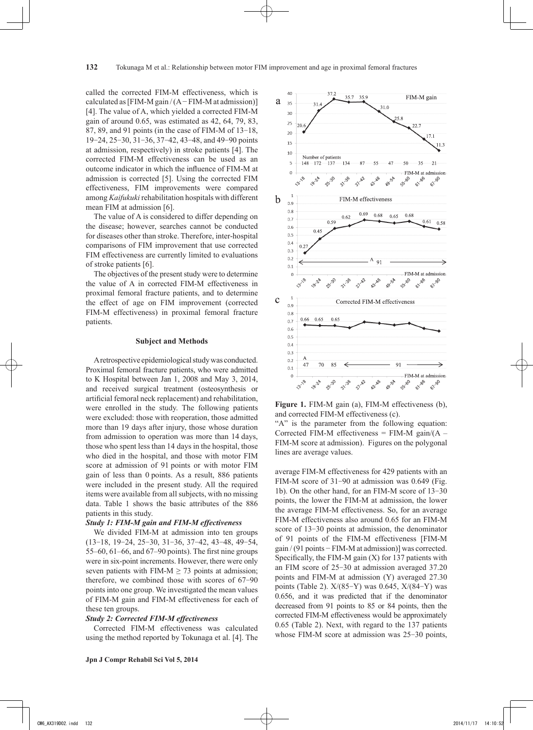called the corrected FIM-M effectiveness, which is calculated as  $[FIN-M gain/(A-FIM-M at admission)]$ [4]. The value of A, which yielded a corrected FIM-M gain of around 0.65, was estimated as 42, 64, 79, 83, 87, 89, and 91 points (in the case of FIM-M of 13-18, 19-24, 25-30, 31-36, 37-42, 43-48, and 49-90 points at admission, respectively) in stroke patients [4]. The corrected FIM-M effectiveness can be used as an outcome indicator in which the influence of FIM-M at admission is corrected [5]. Using the corrected FIM effectiveness, FIM improvements were compared among *Kaifukuki* rehabilitation hospitals with different mean FIM at admission [6].

The value of A is considered to differ depending on the disease; however, searches cannot be conducted for diseases other than stroke. Therefore, inter-hospital comparisons of FIM improvement that use corrected FIM effectiveness are currently limited to evaluations of stroke patients [6].

The objectives of the present study were to determine the value of A in corrected FIM-M effectiveness in proximal femoral fracture patients, and to determine the effect of age on FIM improvement (corrected FIM-M effectiveness) in proximal femoral fracture patients.

#### **Subject and Methods**

A retrospective epidemiological study was conducted. Proximal femoral fracture patients, who were admitted to K Hospital between Jan 1, 2008 and May 3, 2014, and received surgical treatment (osteosynthesis or artificial femoral neck replacement) and rehabilitation, were enrolled in the study. The following patients were excluded: those with reoperation, those admitted more than 19 days after injury, those whose duration from admission to operation was more than 14 days, those who spent less than 14 days in the hospital, those who died in the hospital, and those with motor FIM score at admission of 91 points or with motor FIM gain of less than 0 points. As a result, 886 patients were included in the present study. All the required items were available from all subjects, with no missing data. Table 1 shows the basic attributes of the 886 patients in this study.

#### *Study 1: FIM-M gain and FIM-M effectiveness*

We divided FIM-M at admission into ten groups (13-18, 19-24, 25-30, 31-36, 37-42, 43-48, 49-54, 55–60, 61–66, and 67–90 points). The first nine groups were in six-point increments. However, there were only seven patients with FIM-M  $\geq$  73 points at admission; therefore, we combined those with scores of 67-90 points into one group. We investigated the mean values of FIM-M gain and FIM-M effectiveness for each of these ten groups.

#### *Study 2: Corrected FIM-M effectiveness*

Corrected FIM-M effectiveness was calculated using the method reported by Tokunaga et al. [4]. The



**Figure 1.** FIM-M gain (a), FIM-M effectiveness (b), and corrected FIM-M effectiveness (c).

"A" is the parameter from the following equation: Corrected FIM-M effectiveness = FIM-M gain/ $(A -$ FIM-M score at admission). Figures on the polygonal lines are average values.

average FIM-M effectiveness for 429 patients with an FIM-M score of 31-90 at admission was 0.649 (Fig. 1b). On the other hand, for an FIM-M score of 13-30 points, the lower the FIM-M at admission, the lower the average FIM-M effectiveness. So, for an average FIM-M effectiveness also around 0.65 for an FIM-M score of 13-30 points at admission, the denominator of 91 points of the FIM-M effectiveness [FIM-M gain / (91 points − FIM-M at admission)] was corrected. Specifically, the FIM-M gain  $(X)$  for 137 patients with an FIM score of 25-30 at admission averaged 37.20 points and FIM-M at admission (Y) averaged 27.30 points (Table 2). X/(85-Y) was 0.645, X/(84-Y) was 0.656, and it was predicted that if the denominator decreased from 91 points to 85 or 84 points, then the corrected FIM-M effectiveness would be approximately 0.65 (Table 2). Next, with regard to the 137 patients whose FIM-M score at admission was 25-30 points,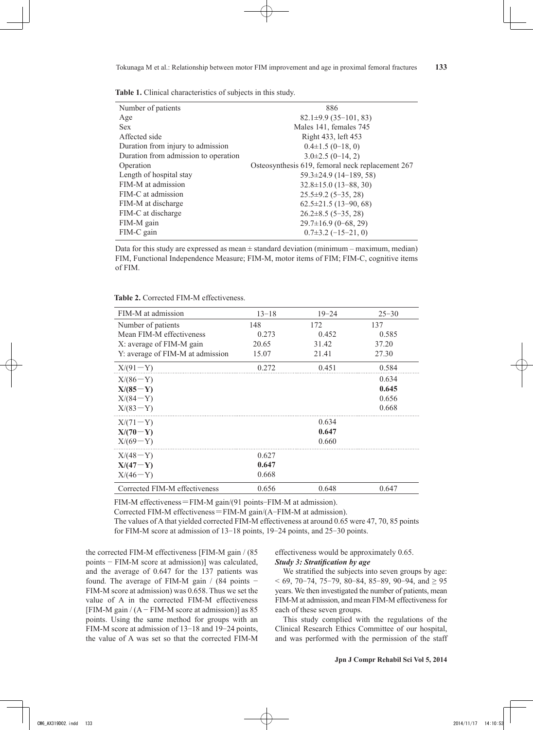|  | Table 1. Clinical characteristics of subjects in this study. |  |  |
|--|--------------------------------------------------------------|--|--|
|  |                                                              |  |  |

| Number of patients                   | 886                                              |
|--------------------------------------|--------------------------------------------------|
| Age                                  | $82.1\pm9.9(35-101, 83)$                         |
| <b>Sex</b>                           | Males 141, females 745                           |
| Affected side                        | Right 433, left 453                              |
| Duration from injury to admission    | $0.4\pm1.5(0-18, 0)$                             |
| Duration from admission to operation | $3.0\pm2.5(0-14, 2)$                             |
| Operation                            | Osteosynthesis 619, femoral neck replacement 267 |
| Length of hospital stay              | $59.3 \pm 24.9$ (14-189, 58)                     |
| FIM-M at admission                   | $32.8 \pm 15.0$ (13-88, 30)                      |
| FIM-C at admission                   | $25.5\pm9.2$ (5-35, 28)                          |
| FIM-M at discharge                   | $62.5 \pm 21.5$ (13-90, 68)                      |
| FIM-C at discharge                   | $26.2 \pm 8.5$ (5-35, 28)                        |
| FIM-M gain                           | $29.7\pm16.9$ (0-68, 29)                         |
| FIM-C gain                           | $0.7\pm3.2$ (-15-21, 0)                          |

Data for this study are expressed as mean  $\pm$  standard deviation (minimum – maximum, median) FIM, Functional Independence Measure; FIM-M, motor items of FIM; FIM-C, cognitive items of FIM.

| <b>Table 2.</b> Corrected FIM-M effectiveness. |  |
|------------------------------------------------|--|
|------------------------------------------------|--|

| FIM-M at admission               | $13 - 18$ | $19 - 24$ | $25 - 30$ |
|----------------------------------|-----------|-----------|-----------|
| Number of patients               | 148       | 172       | 137       |
| Mean FIM-M effectiveness         | 0.273     | 0.452     | 0.585     |
| X: average of FIM-M gain         | 20.65     | 31.42     | 37.20     |
| Y: average of FIM-M at admission | 15.07     | 21.41     | 27.30     |
| $X/(91-Y)$                       | 0.272     | 0.451     | 0.584     |
| $X/(86-Y)$                       |           |           | 0.634     |
| $X/(85-Y)$                       |           |           | 0.645     |
| $X/(84-Y)$                       |           |           | 0.656     |
| $X/(83-Y)$                       |           |           | 0.668     |
| $X/(71-Y)$                       |           | 0.634     |           |
| $X/(70-Y)$                       |           | 0.647     |           |
| $X/(69-Y)$                       |           | 0.660     |           |
| $X/(48-Y)$                       | 0.627     |           |           |
| $X/(47-Y)$                       | 0.647     |           |           |
| $X/(46-Y)$                       | 0.668     |           |           |
| Corrected FIM-M effectiveness    | 0.656     | 0.648     | 0.647     |

FIM-M effectiveness=FIM-M gain/(91 points-FIM-M at admission).

Corrected FIM-M effectiveness=FIM-M gain/(A-FIM-M at admission).

The values of A that yielded corrected FIM-M effectiveness at around 0.65 were 47, 70, 85 points for FIM-M score at admission of 13-18 points, 19-24 points, and 25-30 points.

the corrected FIM-M effectiveness [FIM-M gain / (85 points − FIM-M score at admission)] was calculated, and the average of 0.647 for the 137 patients was found. The average of FIM-M gain / (84 points − FIM-M score at admission) was 0.658. Thus we set the value of A in the corrected FIM-M effectiveness  $[FIN-M gain / (A-FIM-M score at admission)]$  as 85 points. Using the same method for groups with an FIM-M score at admission of 13-18 and 19-24 points, the value of A was set so that the corrected FIM-M effectiveness would be approximately 0.65. *Study 3: Stratification by age*

We stratified the subjects into seven groups by age: < 69, 70-74, 75-79, 80-84, 85-89, 90-94, and ≥ 95 years. We then investigated the number of patients, mean FIM-M at admission, and mean FIM-M effectiveness for each of these seven groups.

This study complied with the regulations of the Clinical Research Ethics Committee of our hospital, and was performed with the permission of the staff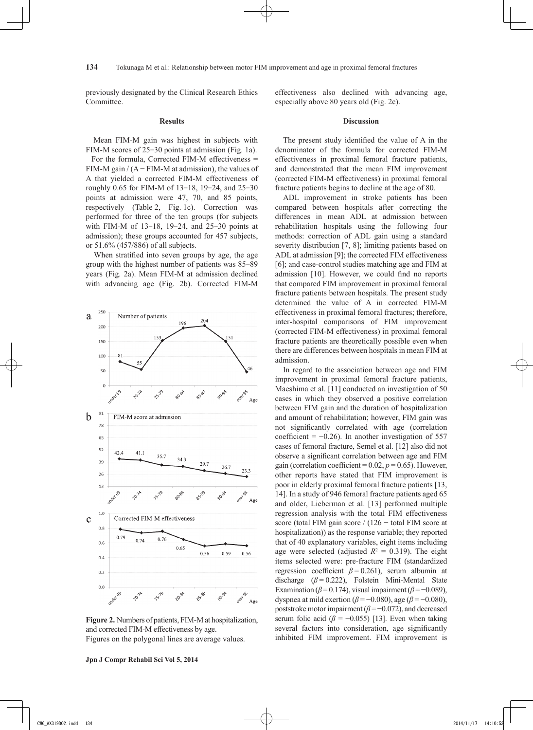previously designated by the Clinical Research Ethics Committee.

# **Results**

 Mean FIM-M gain was highest in subjects with FIM-M scores of 25-30 points at admission (Fig. 1a).

 For the formula, Corrected FIM-M effectiveness = FIM-M gain  $/(A - FIM-M$  at admission), the values of A that yielded a corrected FIM-M effectiveness of roughly 0.65 for FIM-M of 13-18, 19-24, and 25-30 points at admission were 47, 70, and 85 points, respectively (Table 2, Fig. 1c). Correction was performed for three of the ten groups (for subjects with FIM-M of 13-18, 19-24, and 25-30 points at admission); these groups accounted for 457 subjects, or 51.6% (457/886) of all subjects.

When stratified into seven groups by age, the age group with the highest number of patients was 85-89 years (Fig. 2a). Mean FIM-M at admission declined with advancing age (Fig. 2b). Corrected FIM-M



**Figure 2.** Numbers of patients, FIM-M at hospitalization, and corrected FIM-M effectiveness by age. Figures on the polygonal lines are average values.

effectiveness also declined with advancing age, especially above 80 years old (Fig. 2c).

## **Discussion**

The present study identified the value of A in the denominator of the formula for corrected FIM-M effectiveness in proximal femoral fracture patients, and demonstrated that the mean FIM improvement (corrected FIM-M effectiveness) in proximal femoral fracture patients begins to decline at the age of 80.

ADL improvement in stroke patients has been compared between hospitals after correcting the differences in mean ADL at admission between rehabilitation hospitals using the following four methods: correction of ADL gain using a standard severity distribution [7, 8]; limiting patients based on ADL at admission [9]; the corrected FIM effectiveness [6]; and case-control studies matching age and FIM at admission [10]. However, we could find no reports that compared FIM improvement in proximal femoral fracture patients between hospitals. The present study determined the value of A in corrected FIM-M effectiveness in proximal femoral fractures; therefore, inter-hospital comparisons of FIM improvement (corrected FIM-M effectiveness) in proximal femoral fracture patients are theoretically possible even when there are differences between hospitals in mean FIM at admission.

In regard to the association between age and FIM improvement in proximal femoral fracture patients, Maeshima et al. [11] conducted an investigation of 50 cases in which they observed a positive correlation between FIM gain and the duration of hospitalization and amount of rehabilitation; however, FIM gain was not significantly correlated with age (correlation coefficient =  $-0.26$ ). In another investigation of 557 cases of femoral fracture, Semel et al. [12] also did not observe a significant correlation between age and FIM gain (correlation coefficient =  $0.02$ ,  $p = 0.65$ ). However, other reports have stated that FIM improvement is poor in elderly proximal femoral fracture patients [13, 14]. In a study of 946 femoral fracture patients aged 65 and older, Lieberman et al. [13] performed multiple regression analysis with the total FIM effectiveness score (total FIM gain score / (126 − total FIM score at hospitalization)) as the response variable; they reported that of 40 explanatory variables, eight items including age were selected (adjusted  $R^2 = 0.319$ ). The eight items selected were: pre-fracture FIM (standardized regression coefficient  $\beta$  = 0.261), serum albumin at discharge (*β* = 0.222), Folstein Mini-Mental State Examination ( $\beta$ =0.174), visual impairment ( $\beta$ =-0.089), dyspnea at mild exertion ( $\beta$  = −0.080), age ( $\beta$  = −0.080), poststroke motor impairment  $(\beta = -0.072)$ , and decreased serum folic acid ( $\beta$  = −0.055) [13]. Even when taking several factors into consideration, age significantly inhibited FIM improvement. FIM improvement is